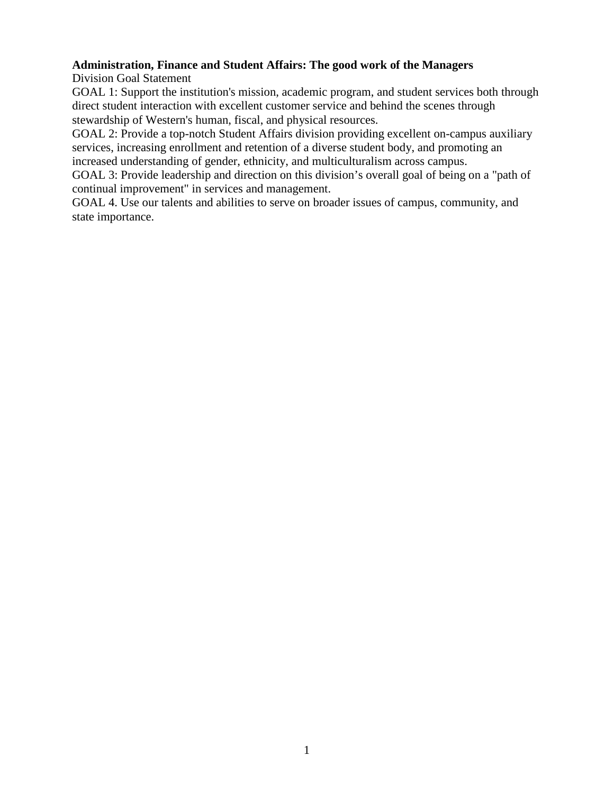# **Administration, Finance and Student Affairs: The good work of the Managers**

Division Goal Statement

GOAL 1: Support the institution's mission, academic program, and student services both through direct student interaction with excellent customer service and behind the scenes through stewardship of Western's human, fiscal, and physical resources.

GOAL 2: Provide a top-notch Student Affairs division providing excellent on-campus auxiliary services, increasing enrollment and retention of a diverse student body, and promoting an increased understanding of gender, ethnicity, and multiculturalism across campus.

GOAL 3: Provide leadership and direction on this division's overall goal of being on a "path of continual improvement" in services and management.

GOAL 4. Use our talents and abilities to serve on broader issues of campus, community, and state importance.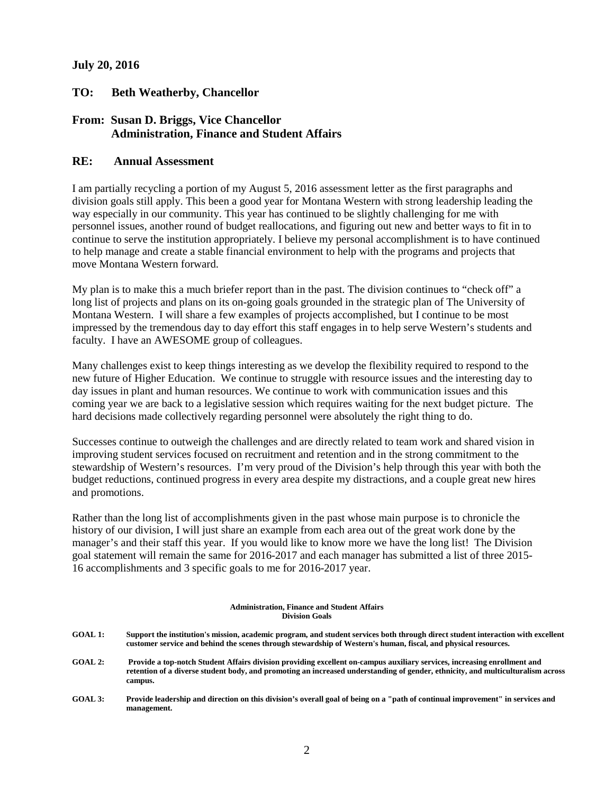## **July 20, 2016**

## **TO: Beth Weatherby, Chancellor**

# **From: Susan D. Briggs, Vice Chancellor Administration, Finance and Student Affairs**

### **RE: Annual Assessment**

I am partially recycling a portion of my August 5, 2016 assessment letter as the first paragraphs and division goals still apply. This been a good year for Montana Western with strong leadership leading the way especially in our community. This year has continued to be slightly challenging for me with personnel issues, another round of budget reallocations, and figuring out new and better ways to fit in to continue to serve the institution appropriately. I believe my personal accomplishment is to have continued to help manage and create a stable financial environment to help with the programs and projects that move Montana Western forward.

My plan is to make this a much briefer report than in the past. The division continues to "check off" a long list of projects and plans on its on-going goals grounded in the strategic plan of The University of Montana Western. I will share a few examples of projects accomplished, but I continue to be most impressed by the tremendous day to day effort this staff engages in to help serve Western's students and faculty. I have an AWESOME group of colleagues.

Many challenges exist to keep things interesting as we develop the flexibility required to respond to the new future of Higher Education. We continue to struggle with resource issues and the interesting day to day issues in plant and human resources. We continue to work with communication issues and this coming year we are back to a legislative session which requires waiting for the next budget picture. The hard decisions made collectively regarding personnel were absolutely the right thing to do.

Successes continue to outweigh the challenges and are directly related to team work and shared vision in improving student services focused on recruitment and retention and in the strong commitment to the stewardship of Western's resources. I'm very proud of the Division's help through this year with both the budget reductions, continued progress in every area despite my distractions, and a couple great new hires and promotions.

Rather than the long list of accomplishments given in the past whose main purpose is to chronicle the history of our division, I will just share an example from each area out of the great work done by the manager's and their staff this year. If you would like to know more we have the long list! The Division goal statement will remain the same for 2016-2017 and each manager has submitted a list of three 2015- 16 accomplishments and 3 specific goals to me for 2016-2017 year.

#### **Administration, Finance and Student Affairs Division Goals**

- **GOAL 1: Support the institution's mission, academic program, and student services both through direct student interaction with excellent customer service and behind the scenes through stewardship of Western's human, fiscal, and physical resources.**
- **GOAL 2: Provide a top-notch Student Affairs division providing excellent on-campus auxiliary services, increasing enrollment and retention of a diverse student body, and promoting an increased understanding of gender, ethnicity, and multiculturalism across campus.**
- **GOAL 3: Provide leadership and direction on this division's overall goal of being on a "path of continual improvement" in services and management.**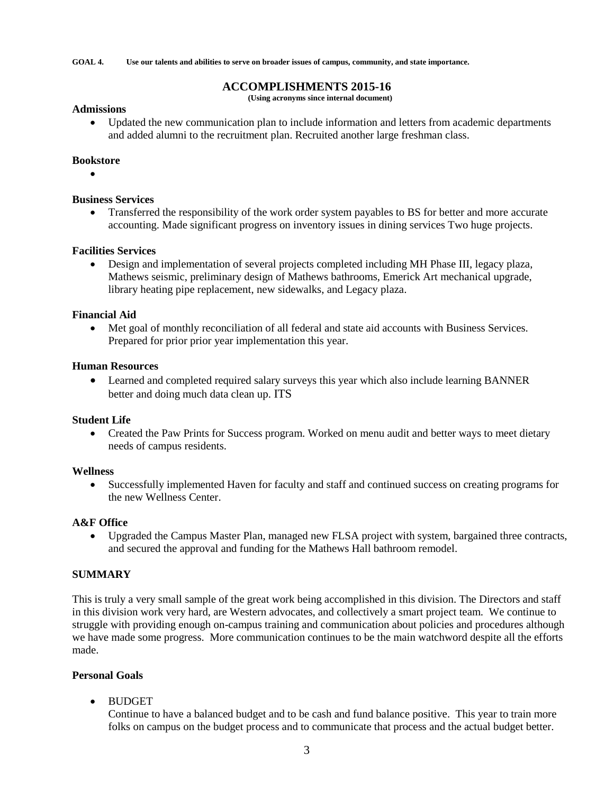**GOAL 4. Use our talents and abilities to serve on broader issues of campus, community, and state importance.**

# **ACCOMPLISHMENTS 2015-16**

**(Using acronyms since internal document)**

#### **Admissions**

• Updated the new communication plan to include information and letters from academic departments and added alumni to the recruitment plan. Recruited another large freshman class.

#### **Bookstore**

•

### **Business Services**

• Transferred the responsibility of the work order system payables to BS for better and more accurate accounting. Made significant progress on inventory issues in dining services Two huge projects.

#### **Facilities Services**

• Design and implementation of several projects completed including MH Phase III, legacy plaza, Mathews seismic, preliminary design of Mathews bathrooms, Emerick Art mechanical upgrade, library heating pipe replacement, new sidewalks, and Legacy plaza.

## **Financial Aid**

• Met goal of monthly reconciliation of all federal and state aid accounts with Business Services. Prepared for prior prior year implementation this year.

#### **Human Resources**

• Learned and completed required salary surveys this year which also include learning BANNER better and doing much data clean up. ITS

#### **Student Life**

• Created the Paw Prints for Success program. Worked on menu audit and better ways to meet dietary needs of campus residents.

#### **Wellness**

• Successfully implemented Haven for faculty and staff and continued success on creating programs for the new Wellness Center.

#### **A&F Office**

• Upgraded the Campus Master Plan, managed new FLSA project with system, bargained three contracts, and secured the approval and funding for the Mathews Hall bathroom remodel.

# **SUMMARY**

This is truly a very small sample of the great work being accomplished in this division. The Directors and staff in this division work very hard, are Western advocates, and collectively a smart project team. We continue to struggle with providing enough on-campus training and communication about policies and procedures although we have made some progress. More communication continues to be the main watchword despite all the efforts made.

# **Personal Goals**

• BUDGET

Continue to have a balanced budget and to be cash and fund balance positive. This year to train more folks on campus on the budget process and to communicate that process and the actual budget better.